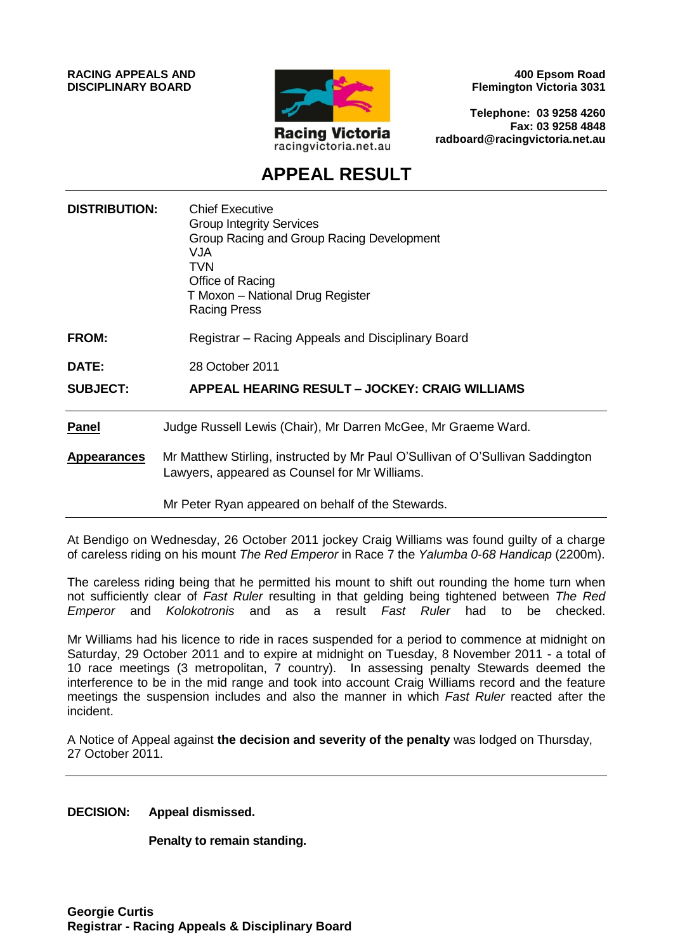**RACING APPEALS AND DISCIPLINARY BOARD**



**400 Epsom Road Flemington Victoria 3031**

**Telephone: 03 9258 4260 Fax: 03 9258 4848 radboard@racingvictoria.net.au**

# **APPEAL RESULT**

| <b>DISTRIBUTION:</b> | <b>Chief Executive</b><br><b>Group Integrity Services</b><br>Group Racing and Group Racing Development<br>VJA<br>TVN<br>Office of Racing<br>T Moxon - National Drug Register<br><b>Racing Press</b> |
|----------------------|-----------------------------------------------------------------------------------------------------------------------------------------------------------------------------------------------------|
| <b>FROM:</b>         | Registrar – Racing Appeals and Disciplinary Board                                                                                                                                                   |
| <b>DATE:</b>         | 28 October 2011                                                                                                                                                                                     |
| <b>SUBJECT:</b>      | APPEAL HEARING RESULT - JOCKEY: CRAIG WILLIAMS                                                                                                                                                      |
| <b>Panel</b>         | Judge Russell Lewis (Chair), Mr Darren McGee, Mr Graeme Ward.                                                                                                                                       |
| <b>Appearances</b>   | Mr Matthew Stirling, instructed by Mr Paul O'Sullivan of O'Sullivan Saddington<br>Lawyers, appeared as Counsel for Mr Williams.                                                                     |
|                      | Mr Peter Ryan appeared on behalf of the Stewards.                                                                                                                                                   |

At Bendigo on Wednesday, 26 October 2011 jockey Craig Williams was found guilty of a charge of careless riding on his mount *The Red Emperor* in Race 7 the *Yalumba 0-68 Handicap* (2200m).

The careless riding being that he permitted his mount to shift out rounding the home turn when not sufficiently clear of *Fast Ruler* resulting in that gelding being tightened between *The Red Emperor* and *Kolokotronis* and as a result *Fast Ruler* had to be checked.

Mr Williams had his licence to ride in races suspended for a period to commence at midnight on Saturday, 29 October 2011 and to expire at midnight on Tuesday, 8 November 2011 - a total of 10 race meetings (3 metropolitan, 7 country). In assessing penalty Stewards deemed the interference to be in the mid range and took into account Craig Williams record and the feature meetings the suspension includes and also the manner in which *Fast Ruler* reacted after the incident.

A Notice of Appeal against **the decision and severity of the penalty** was lodged on Thursday, 27 October 2011.

**DECISION: Appeal dismissed.** 

**Penalty to remain standing.**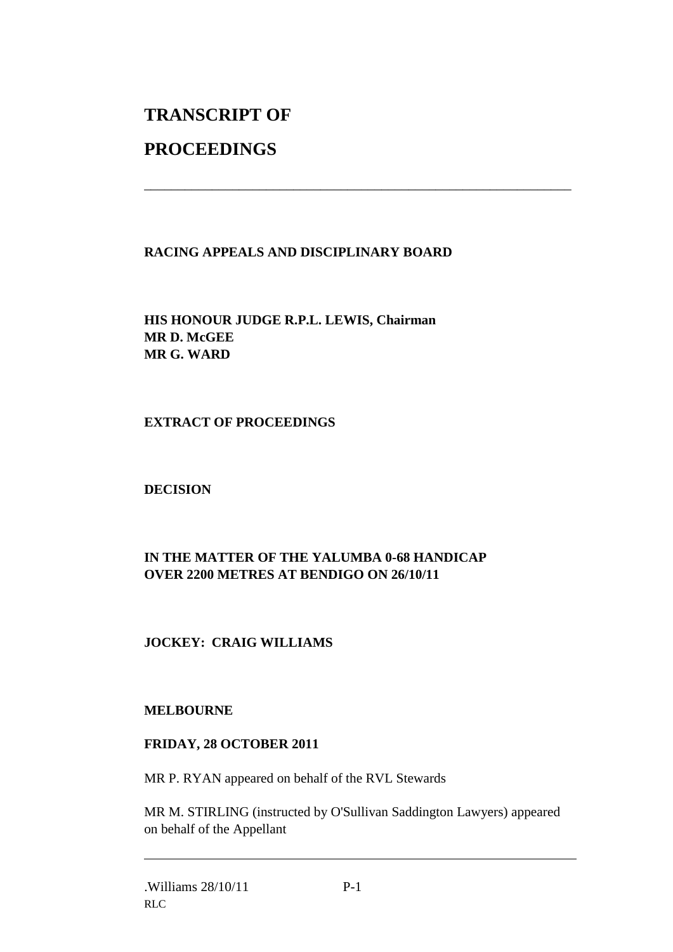# **TRANSCRIPT OF**

# **PROCEEDINGS**

### **RACING APPEALS AND DISCIPLINARY BOARD**

\_\_\_\_\_\_\_\_\_\_\_\_\_\_\_\_\_\_\_\_\_\_\_\_\_\_\_\_\_\_\_\_\_\_\_\_\_\_\_\_\_\_\_\_\_\_\_\_\_\_\_\_\_\_\_\_\_\_\_\_\_\_\_

**HIS HONOUR JUDGE R.P.L. LEWIS, Chairman MR D. McGEE MR G. WARD**

#### **EXTRACT OF PROCEEDINGS**

#### **DECISION**

### **IN THE MATTER OF THE YALUMBA 0-68 HANDICAP OVER 2200 METRES AT BENDIGO ON 26/10/11**

## **JOCKEY: CRAIG WILLIAMS**

#### **MELBOURNE**

#### **FRIDAY, 28 OCTOBER 2011**

MR P. RYAN appeared on behalf of the RVL Stewards

MR M. STIRLING (instructed by O'Sullivan Saddington Lawyers) appeared on behalf of the Appellant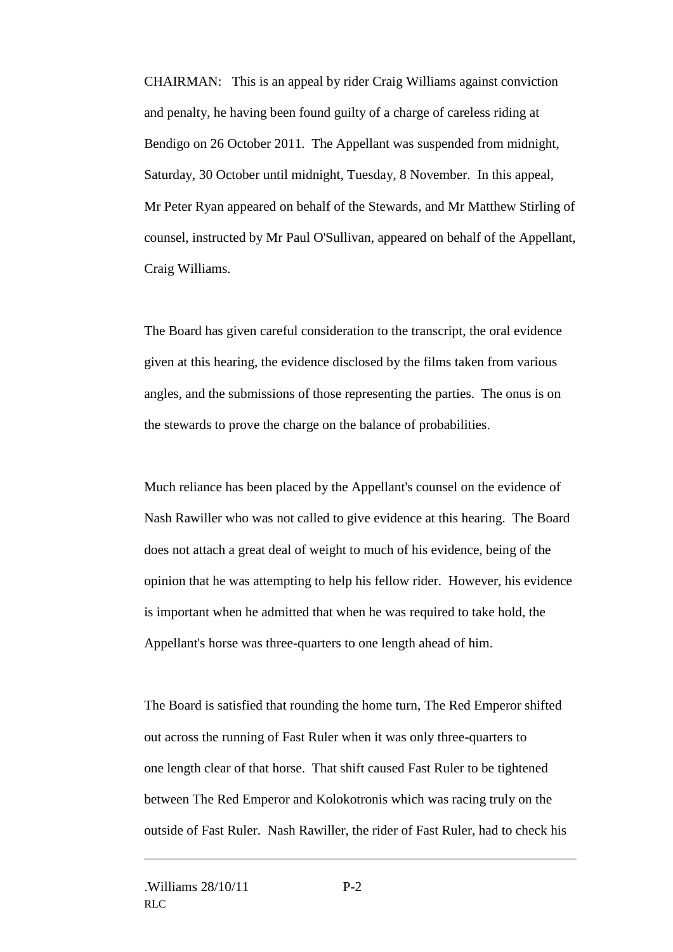CHAIRMAN: This is an appeal by rider Craig Williams against conviction and penalty, he having been found guilty of a charge of careless riding at Bendigo on 26 October 2011. The Appellant was suspended from midnight, Saturday, 30 October until midnight, Tuesday, 8 November. In this appeal, Mr Peter Ryan appeared on behalf of the Stewards, and Mr Matthew Stirling of counsel, instructed by Mr Paul O'Sullivan, appeared on behalf of the Appellant, Craig Williams.

The Board has given careful consideration to the transcript, the oral evidence given at this hearing, the evidence disclosed by the films taken from various angles, and the submissions of those representing the parties. The onus is on the stewards to prove the charge on the balance of probabilities.

Much reliance has been placed by the Appellant's counsel on the evidence of Nash Rawiller who was not called to give evidence at this hearing. The Board does not attach a great deal of weight to much of his evidence, being of the opinion that he was attempting to help his fellow rider. However, his evidence is important when he admitted that when he was required to take hold, the Appellant's horse was three-quarters to one length ahead of him.

The Board is satisfied that rounding the home turn, The Red Emperor shifted out across the running of Fast Ruler when it was only three-quarters to one length clear of that horse. That shift caused Fast Ruler to be tightened between The Red Emperor and Kolokotronis which was racing truly on the outside of Fast Ruler. Nash Rawiller, the rider of Fast Ruler, had to check his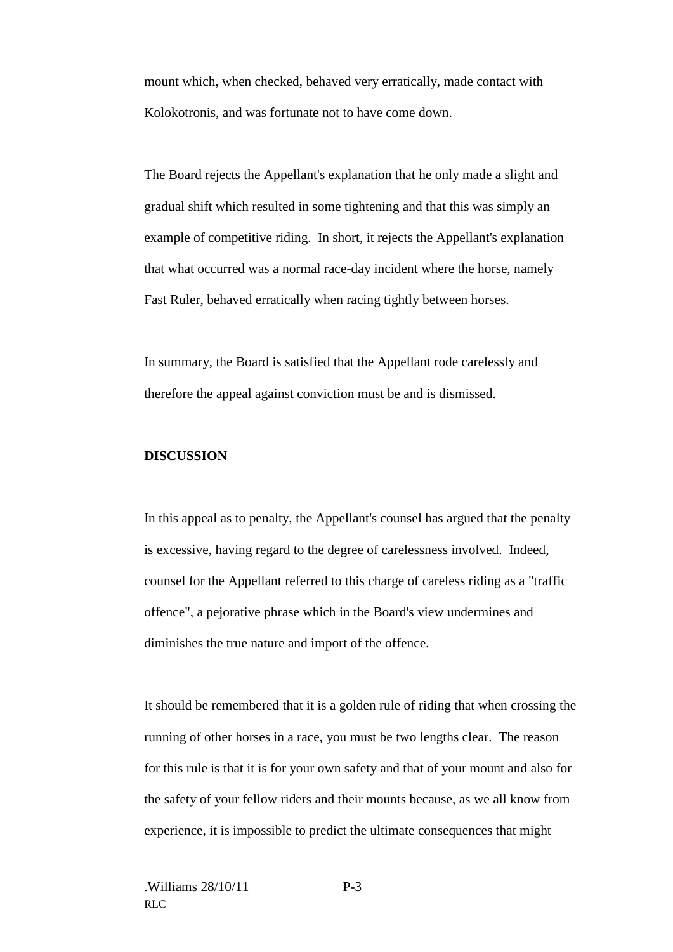mount which, when checked, behaved very erratically, made contact with Kolokotronis, and was fortunate not to have come down.

The Board rejects the Appellant's explanation that he only made a slight and gradual shift which resulted in some tightening and that this was simply an example of competitive riding. In short, it rejects the Appellant's explanation that what occurred was a normal race-day incident where the horse, namely Fast Ruler, behaved erratically when racing tightly between horses.

In summary, the Board is satisfied that the Appellant rode carelessly and therefore the appeal against conviction must be and is dismissed.

#### **DISCUSSION**

In this appeal as to penalty, the Appellant's counsel has argued that the penalty is excessive, having regard to the degree of carelessness involved. Indeed, counsel for the Appellant referred to this charge of careless riding as a "traffic offence", a pejorative phrase which in the Board's view undermines and diminishes the true nature and import of the offence.

It should be remembered that it is a golden rule of riding that when crossing the running of other horses in a race, you must be two lengths clear. The reason for this rule is that it is for your own safety and that of your mount and also for the safety of your fellow riders and their mounts because, as we all know from experience, it is impossible to predict the ultimate consequences that might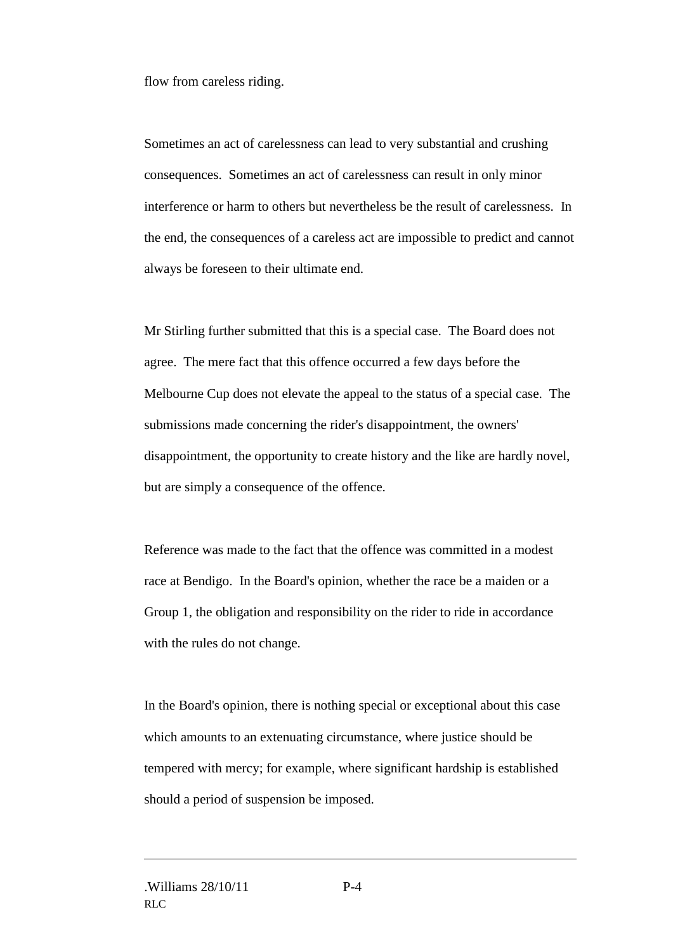flow from careless riding.

Sometimes an act of carelessness can lead to very substantial and crushing consequences. Sometimes an act of carelessness can result in only minor interference or harm to others but nevertheless be the result of carelessness. In the end, the consequences of a careless act are impossible to predict and cannot always be foreseen to their ultimate end.

Mr Stirling further submitted that this is a special case. The Board does not agree. The mere fact that this offence occurred a few days before the Melbourne Cup does not elevate the appeal to the status of a special case. The submissions made concerning the rider's disappointment, the owners' disappointment, the opportunity to create history and the like are hardly novel, but are simply a consequence of the offence.

Reference was made to the fact that the offence was committed in a modest race at Bendigo. In the Board's opinion, whether the race be a maiden or a Group 1, the obligation and responsibility on the rider to ride in accordance with the rules do not change.

In the Board's opinion, there is nothing special or exceptional about this case which amounts to an extenuating circumstance, where justice should be tempered with mercy; for example, where significant hardship is established should a period of suspension be imposed.